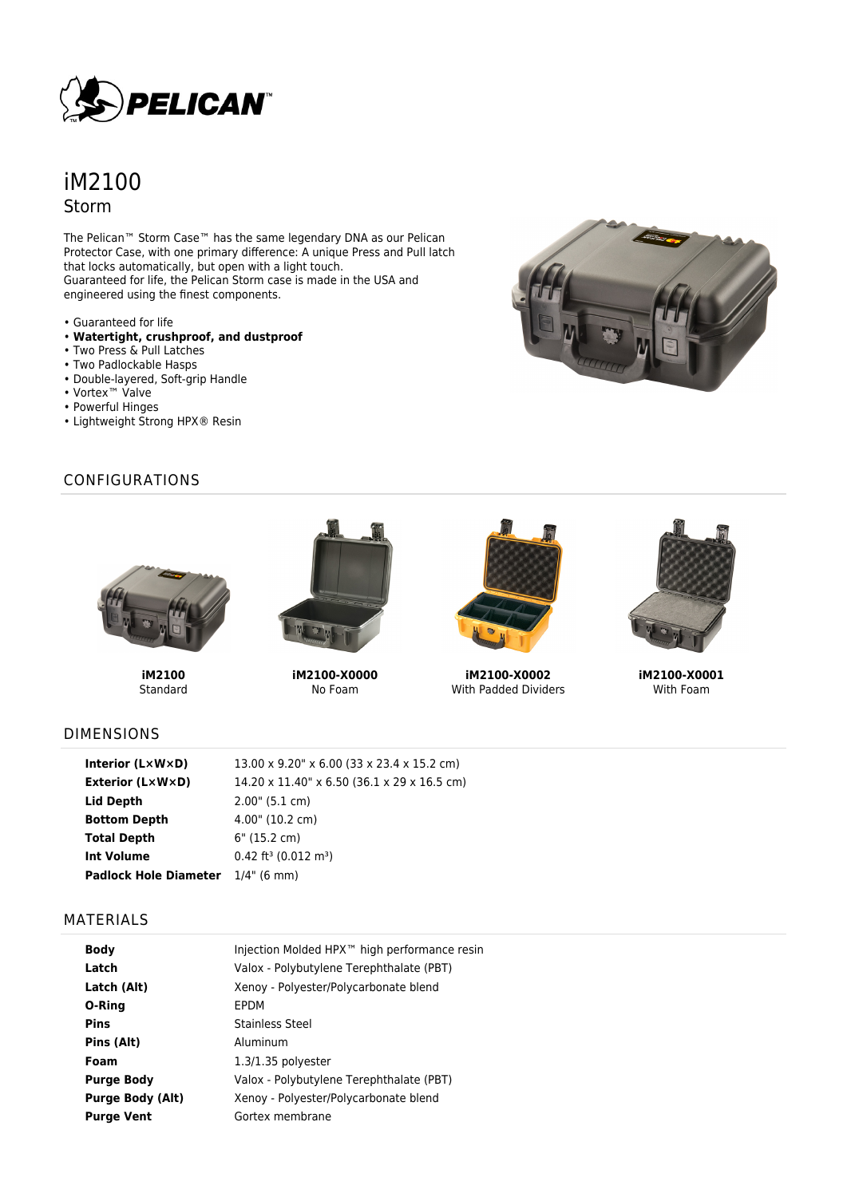

# iM2100 Storm

The Pelican™ Storm Case™ has the same legendary DNA as our Pelican Protector Case, with one primary difference: A unique Press and Pull latch that locks automatically, but open with a light touch. Guaranteed for life, the Pelican Storm case is made in the USA and engineered using the finest components.

- Guaranteed for life
- **Watertight, crushproof, and dustproof**
- Two Press & Pull Latches
- Two Padlockable Hasps
- Double-layered, Soft-grip Handle
- Vortex™ Valve
- Powerful Hinges
- Lightweight Strong HPX® Resin

## CONFIGURATIONS



**iM2100** Standard



**iM2100-X0000** No Foam



**iM2100-X0002** With Padded Dividers



**iM2100-X0001** With Foam

# DIMENSIONS

| Interior $(L \times W \times D)$         | 13.00 x 9.20" x 6.00 (33 x 23.4 x 15.2 cm)     |
|------------------------------------------|------------------------------------------------|
| <b>Exterior (L×W×D)</b>                  | 14.20 x 11.40" x 6.50 (36.1 x 29 x 16.5 cm)    |
| Lid Depth                                | 2.00" (5.1 cm)                                 |
| <b>Bottom Depth</b>                      | $4.00$ " (10.2 cm)                             |
| <b>Total Depth</b>                       | 6" (15.2 cm)                                   |
| <b>Int Volume</b>                        | $0.42$ ft <sup>3</sup> (0.012 m <sup>3</sup> ) |
| <b>Padlock Hole Diameter</b> 1/4" (6 mm) |                                                |

#### MATERIALS

| <b>Body</b>             | Injection Molded HPX <sup>™</sup> high performance resin |
|-------------------------|----------------------------------------------------------|
| Latch                   | Valox - Polybutylene Terephthalate (PBT)                 |
| Latch (Alt)             | Xenoy - Polyester/Polycarbonate blend                    |
| O-Ring                  | EPDM                                                     |
| Pins                    | Stainless Steel                                          |
| Pins (Alt)              | Aluminum                                                 |
| Foam                    | $1.3/1.35$ polyester                                     |
| <b>Purge Body</b>       | Valox - Polybutylene Terephthalate (PBT)                 |
| <b>Purge Body (Alt)</b> | Xenoy - Polyester/Polycarbonate blend                    |
| <b>Purge Vent</b>       | Gortex membrane                                          |